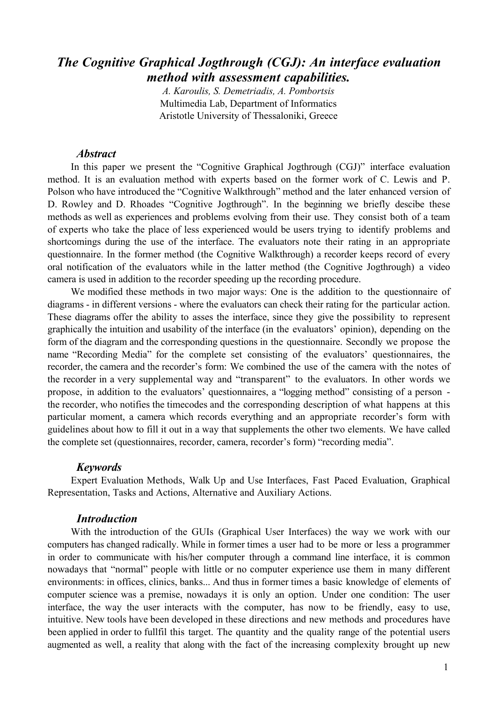# *The Cognitive Graphical Jogthrough (CGJ): An interface evaluation method with assessment capabilities.*

*A. Karoulis, S. Demetriadis, A. Pombortsis* Multimedia Lab, Department of Informatics Aristotle University of Thessaloniki, Greece

## *Abstract*

In this paper we present the "Cognitive Graphical Jogthrough (CGJ)" interface evaluation method. It is an evaluation method with experts based on the former work of C. Lewis and P. Polson who have introduced the "Cognitive Walkthrough" method and the later enhanced version of D. Rowley and D. Rhoades "Cognitive Jogthrough". In the beginning we briefly descibe these methods as well as experiences and problems evolving from their use. They consist both of a team of experts who take the place of less experienced would be users trying to identify problems and shortcomings during the use of the interface. The evaluators note their rating in an appropriate questionnaire. In the former method (the Cognitive Walkthrough) a recorder keeps record of every oral notification of the evaluators while in the latter method (the Cognitive Jogthrough) a video camera is used in addition to the recorder speeding up the recording procedure.

We modified these methods in two major ways: One is the addition to the questionnaire of diagrams - in different versions - where the evaluators can check their rating for the particular action. These diagrams offer the ability to asses the interface, since they give the possibility to represent graphically the intuition and usability of the interface (in the evaluators' opinion), depending on the form of the diagram and the corresponding questions in the questionnaire. Secondly we propose the name "Recording Media" for the complete set consisting of the evaluators' questionnaires, the recorder, the camera and the recorder's form: We combined the use of the camera with the notes of the recorder in a very supplemental way and "transparent" to the evaluators. In other words we propose, in addition to the evaluators' questionnaires, a "logging method" consisting of a person the recorder, who notifies the timecodes and the corresponding description of what happens at this particular moment, a camera which records everything and an appropriate recorder's form with guidelines about how to fill it out in a way that supplements the other two elements. We have called the complete set (questionnaires, recorder, camera, recorder's form) "recording media".

#### *Keywords*

Expert Evaluation Methods, Walk Up and Use Interfaces, Fast Paced Evaluation, Graphical Representation, Tasks and Actions, Alternative and Auxiliary Actions.

# *Introduction*

With the introduction of the GUIs (Graphical User Interfaces) the way we work with our computers has changed radically. While in former times a user had to be more or less a programmer in order to communicate with his/her computer through a command line interface, it is common nowadays that "normal" people with little or no computer experience use them in many different environments: in offices, clinics, banks... And thus in former times a basic knowledge of elements of computer science was a premise, nowadays it is only an option. Under one condition: The user interface, the way the user interacts with the computer, has now to be friendly, easy to use, intuitive. New tools have been developed in these directions and new methods and procedures have been applied in order to fullfil this target. The quantity and the quality range of the potential users augmented as well, a reality that along with the fact of the increasing complexity brought up new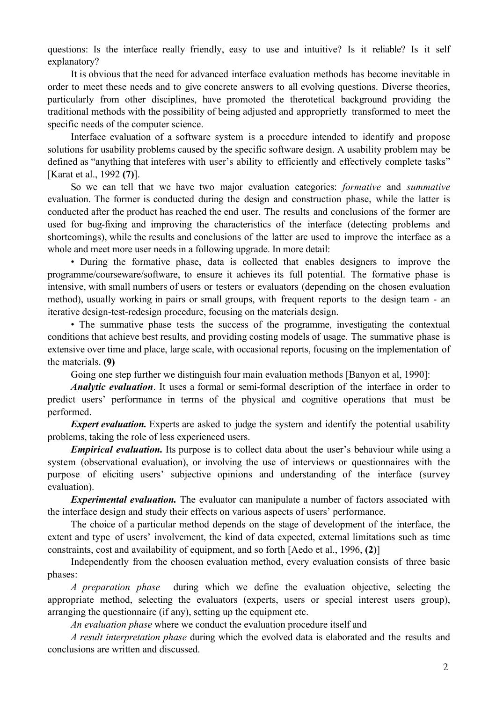questions: Is the interface really friendly, easy to use and intuitive? Is it reliable? Is it self explanatory?

It is obvious that the need for advanced interface evaluation methods has become inevitable in order to meet these needs and to give concrete answers to all evolving questions. Diverse theories, particularly from other disciplines, have promoted the therotetical background providing the traditional methods with the possibility of being adjusted and approprietly transformed to meet the specific needs of the computer science.

Interface evaluation of a software system is a procedure intended to identify and propose solutions for usability problems caused by the specific software design. A usability problem may be defined as "anything that inteferes with user's ability to efficiently and effectively complete tasks" [Karat et al., 1992 **(7)**].

So we can tell that we have two major evaluation categories: *formative* and *summative* evaluation. The former is conducted during the design and construction phase, while the latter is conducted after the product has reached the end user. The results and conclusions of the former are used for bug-fixing and improving the characteristics of the interface (detecting problems and shortcomings), while the results and conclusions of the latter are used to improve the interface as a whole and meet more user needs in a following upgrade. In more detail:

• During the formative phase, data is collected that enables designers to improve the programme/courseware/software, to ensure it achieves its full potential. The formative phase is intensive, with small numbers of users or testers or evaluators (depending on the chosen evaluation method), usually working in pairs or small groups, with frequent reports to the design team - an iterative design-test-redesign procedure, focusing on the materials design.

• The summative phase tests the success of the programme, investigating the contextual conditions that achieve best results, and providing costing models of usage. The summative phase is extensive over time and place, large scale, with occasional reports, focusing on the implementation of the materials. **(9)**

Going one step further we distinguish four main evaluation methods [Banyon et al, 1990]:

*Analytic evaluation*. It uses a formal or semi-formal description of the interface in order to predict users' performance in terms of the physical and cognitive operations that must be performed.

*Expert evaluation.* Experts are asked to judge the system and identify the potential usability problems, taking the role of less experienced users.

*Empirical evaluation.* Its purpose is to collect data about the user's behaviour while using a system (observational evaluation), or involving the use of interviews or questionnaires with the purpose of eliciting users' subjective opinions and understanding of the interface (survey evaluation).

*Experimental evaluation*. The evaluator can manipulate a number of factors associated with the interface design and study their effects on various aspects of users' performance.

The choice of a particular method depends on the stage of development of the interface, the extent and type of users' involvement, the kind of data expected, external limitations such as time constraints, cost and availability of equipment, and so forth [Aedo et al., 1996, **(2)**]

Independently from the choosen evaluation method, every evaluation consists of three basic phases:

*A preparation phase* during which we define the evaluation objective, selecting the appropriate method, selecting the evaluators (experts, users or special interest users group), arranging the questionnaire (if any), setting up the equipment etc.

*An evaluation phase* where we conduct the evaluation procedure itself and

*A result interpretation phase* during which the evolved data is elaborated and the results and conclusions are written and discussed.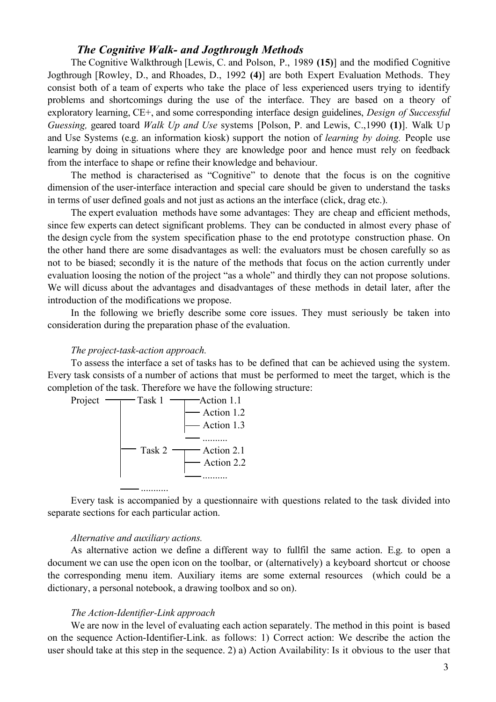# *The Cognitive Walk- and Jogthrough Methods*

The Cognitive Walkthrough [Lewis, C. and Polson, P., 1989 **(15)**] and the modified Cognitive Jogthrough [Rowley, D., and Rhoades, D., 1992 **(4)**] are both Expert Evaluation Methods. They consist both of a team of experts who take the place of less experienced users trying to identify problems and shortcomings during the use of the interface. They are based on a theory of exploratory learning, CE+, and some corresponding interface design guidelines, *Design of Successful Guessing,* geared toard *Walk Up and Use* systems [Polson, P. and Lewis, C.,1990 **(1)**]. Walk Up and Use Systems (e.g. an information kiosk) support the notion of *learning by doing.* People use learning by doing in situations where they are knowledge poor and hence must rely on feedback from the interface to shape or refine their knowledge and behaviour.

The method is characterised as "Cognitive" to denote that the focus is on the cognitive dimension of the user-interface interaction and special care should be given to understand the tasks in terms of user defined goals and not just as actions an the interface (click, drag etc.).

The expert evaluation methods have some advantages: They are cheap and efficient methods, since few experts can detect significant problems. They can be conducted in almost every phase of the design cycle from the system specification phase to the end prototype construction phase. On the other hand there are some disadvantages as well: the evaluators must be chosen carefully so as not to be biased; secondly it is the nature of the methods that focus on the action currently under evaluation loosing the notion of the project "as a whole" and thirdly they can not propose solutions. We will dicuss about the advantages and disadvantages of these methods in detail later, after the introduction of the modifications we propose.

In the following we briefly describe some core issues. They must seriously be taken into consideration during the preparation phase of the evaluation.

#### *The project-task-action approach.*

To assess the interface a set of tasks has to be defined that can be achieved using the system. Every task consists of a number of actions that must be performed to meet the target, which is the completion of the task. Therefore we have the following structure:



Every task is accompanied by a questionnaire with questions related to the task divided into separate sections for each particular action.

#### *Alternative and auxiliary actions.*

As alternative action we define a different way to fullfil the same action. E.g. to open a document we can use the open icon on the toolbar, or (alternatively) a keyboard shortcut or choose the corresponding menu item. Auxiliary items are some external resources (which could be a dictionary, a personal notebook, a drawing toolbox and so on).

#### *The Action-Identifier-Link approach*

We are now in the level of evaluating each action separately. The method in this point is based on the sequence Action-Identifier-Link. as follows: 1) Correct action: We describe the action the user should take at this step in the sequence. 2) a) Action Availability: Is it obvious to the user that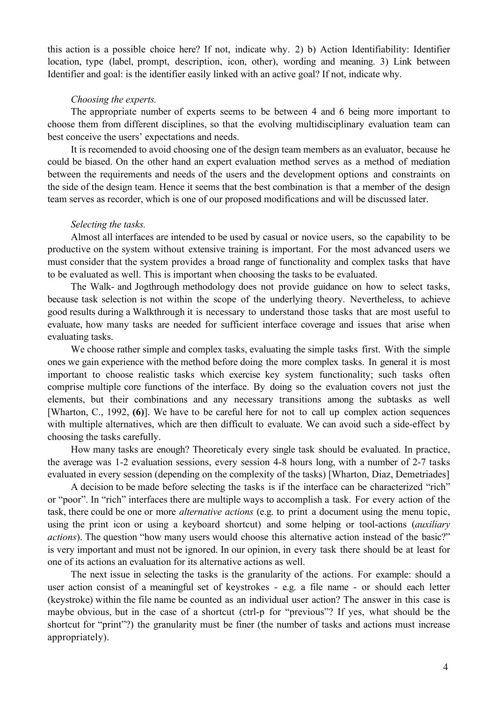this action is a possible choice here? If not, indicate why. 2) b) Action Identifiability: Identifier location, type (label, prompt, description, icon, other), wording and meaning. 3) Link between Identifier and goal: is the identifier easily linked with an active goal? If not, indicate why.

# *Choosing the experts.*

The appropriate number of experts seems to be between 4 and 6 being more important to choose them from different disciplines, so that the evolving multidisciplinary evaluation team can best conceive the users' expectations and needs.

It is recomended to avoid choosing one of the design team members as an evaluator, because he could be biased. On the other hand an expert evaluation method serves as a method of mediation between the requirements and needs of the users and the development options and constraints on the side of the design team. Hence it seems that the best combination is that a member of the design team serves as recorder, which is one of our proposed modifications and will be discussed later.

# *Selecting the tasks.*

Almost all interfaces are intended to be used by casual or novice users, so the capability to be productive on the system without extensive training is important. For the most advanced users we must consider that the system provides a broad range of functionality and complex tasks that have to be evaluated as well. This is important when choosing the tasks to be evaluated.

The Walk- and Jogthrough methodology does not provide guidance on how to select tasks, because task selection is not within the scope of the underlying theory. Nevertheless, to achieve good results during a Walkthrough it is necessary to understand those tasks that are most useful to evaluate, how many tasks are needed for sufficient interface coverage and issues that arise when evaluating tasks.

We choose rather simple and complex tasks, evaluating the simple tasks first. With the simple ones we gain experience with the method before doing the more complex tasks. In general it is most important to choose realistic tasks which exercise key system functionality; such tasks often comprise multiple core functions of the interface. By doing so the evaluation covers not just the elements, but their combinations and any necessary transitions among the subtasks as well [Wharton, C., 1992, **(6)**]. We have to be careful here for not to call up complex action sequences with multiple alternatives, which are then difficult to evaluate. We can avoid such a side-effect by choosing the tasks carefully.

How many tasks are enough? Theoreticaly every single task should be evaluated. In practice, the average was 1-2 evaluation sessions, every session 4-8 hours long, with a number of 2-7 tasks evaluated in every session (depending on the complexity of the tasks) [Wharton, Diaz, Demetriades]

A decision to be made before selecting the tasks is if the interface can be characterized "rich" or "poor". In "rich" interfaces there are multiple ways to accomplish a task. For every action of the task, there could be one or more *alternative actions* (e.g. to print a document using the menu topic, using the print icon or using a keyboard shortcut) and some helping or tool-actions (*auxiliary actions*). The question "how many users would choose this alternative action instead of the basic?" is very important and must not be ignored. In our opinion, in every task there should be at least for one of its actions an evaluation for its alternative actions as well.

The next issue in selecting the tasks is the granularity of the actions. For example: should a user action consist of a meaningful set of keystrokes - e.g. a file name - or should each letter (keystroke) within the file name be counted as an individual user action? The answer in this case is maybe obvious, but in the case of a shortcut (ctrl-p for "previous"? If yes, what should be the shortcut for "print"?) the granularity must be finer (the number of tasks and actions must increase appropriately).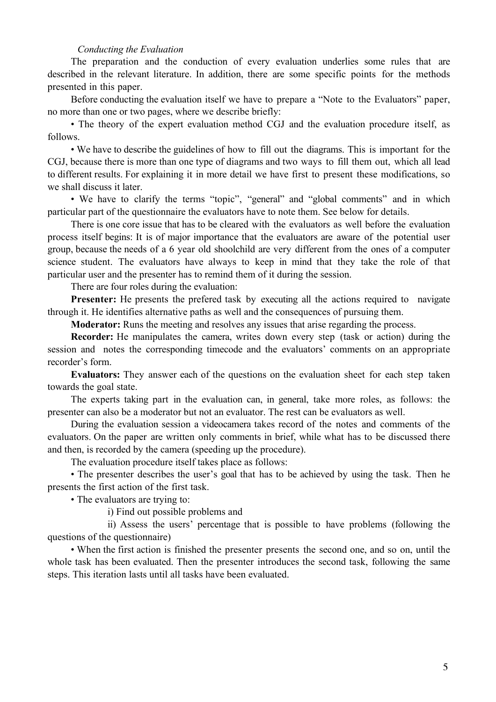#### *Conducting the Evaluation*

The preparation and the conduction of every evaluation underlies some rules that are described in the relevant literature. In addition, there are some specific points for the methods presented in this paper.

Before conducting the evaluation itself we have to prepare a "Note to the Evaluators" paper, no more than one or two pages, where we describe briefly:

• The theory of the expert evaluation method CGJ and the evaluation procedure itself, as follows.

• We have to describe the guidelines of how to fill out the diagrams. This is important for the CGJ, because there is more than one type of diagrams and two ways to fill them out, which all lead to different results. For explaining it in more detail we have first to present these modifications, so we shall discuss it later.

• We have to clarify the terms "topic", "general" and "global comments" and in which particular part of the questionnaire the evaluators have to note them. See below for details.

There is one core issue that has to be cleared with the evaluators as well before the evaluation process itself begins: It is of major importance that the evaluators are aware of the potential user group, because the needs of a 6 year old shoolchild are very different from the ones of a computer science student. The evaluators have always to keep in mind that they take the role of that particular user and the presenter has to remind them of it during the session.

There are four roles during the evaluation:

Presenter: He presents the prefered task by executing all the actions required to navigate through it. He identifies alternative paths as well and the consequences of pursuing them.

**Moderator:** Runs the meeting and resolves any issues that arise regarding the process.

**Recorder:** He manipulates the camera, writes down every step (task or action) during the session and notes the corresponding timecode and the evaluators' comments on an appropriate recorder's form.

**Evaluators:** They answer each of the questions on the evaluation sheet for each step taken towards the goal state.

The experts taking part in the evaluation can, in general, take more roles, as follows: the presenter can also be a moderator but not an evaluator. The rest can be evaluators as well.

During the evaluation session a videocamera takes record of the notes and comments of the evaluators. On the paper are written only comments in brief, while what has to be discussed there and then, is recorded by the camera (speeding up the procedure).

The evaluation procedure itself takes place as follows:

• The presenter describes the user's goal that has to be achieved by using the task. Then he presents the first action of the first task.

• The evaluators are trying to:

i) Find out possible problems and

 ii) Assess the users' percentage that is possible to have problems (following the questions of the questionnaire)

• When the first action is finished the presenter presents the second one, and so on, until the whole task has been evaluated. Then the presenter introduces the second task, following the same steps. This iteration lasts until all tasks have been evaluated.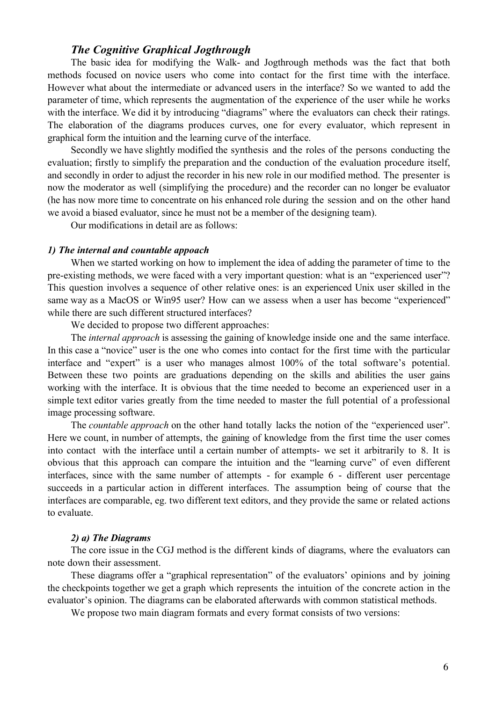# *The Cognitive Graphical Jogthrough*

The basic idea for modifying the Walk- and Jogthrough methods was the fact that both methods focused on novice users who come into contact for the first time with the interface. However what about the intermediate or advanced users in the interface? So we wanted to add the parameter of time, which represents the augmentation of the experience of the user while he works with the interface. We did it by introducing "diagrams" where the evaluators can check their ratings. The elaboration of the diagrams produces curves, one for every evaluator, which represent in graphical form the intuition and the learning curve of the interface.

Secondly we have slightly modified the synthesis and the roles of the persons conducting the evaluation; firstly to simplify the preparation and the conduction of the evaluation procedure itself, and secondly in order to adjust the recorder in his new role in our modified method. The presenter is now the moderator as well (simplifying the procedure) and the recorder can no longer be evaluator (he has now more time to concentrate on his enhanced role during the session and on the other hand we avoid a biased evaluator, since he must not be a member of the designing team).

Our modifications in detail are as follows:

#### *1) The internal and countable appoach*

When we started working on how to implement the idea of adding the parameter of time to the pre-existing methods, we were faced with a very important question: what is an "experienced user"? This question involves a sequence of other relative ones: is an experienced Unix user skilled in the same way as a MacOS or Win95 user? How can we assess when a user has become "experienced" while there are such different structured interfaces?

We decided to propose two different approaches:

The *internal approach* is assessing the gaining of knowledge inside one and the same interface. In this case a "novice" user is the one who comes into contact for the first time with the particular interface and "expert" is a user who manages almost 100% of the total software's potential. Between these two points are graduations depending on the skills and abilities the user gains working with the interface. It is obvious that the time needed to become an experienced user in a simple text editor varies greatly from the time needed to master the full potential of a professional image processing software.

The *countable approach* on the other hand totally lacks the notion of the "experienced user". Here we count, in number of attempts, the gaining of knowledge from the first time the user comes into contact with the interface until a certain number of attempts- we set it arbitrarily to 8. It is obvious that this approach can compare the intuition and the "learning curve" of even different interfaces, since with the same number of attempts - for example 6 - different user percentage succeeds in a particular action in different interfaces. The assumption being of course that the interfaces are comparable, eg. two different text editors, and they provide the same or related actions to evaluate.

# *2) a) The Diagrams*

The core issue in the CGJ method is the different kinds of diagrams, where the evaluators can note down their assessment.

These diagrams offer a "graphical representation" of the evaluators' opinions and by joining the checkpoints together we get a graph which represents the intuition of the concrete action in the evaluator's opinion. The diagrams can be elaborated afterwards with common statistical methods.

We propose two main diagram formats and every format consists of two versions: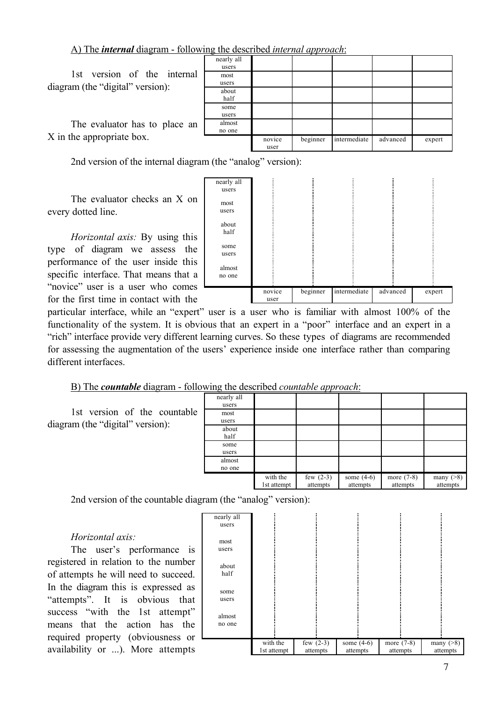A) The *internal* diagram - following the described *internal approach*:

1st version of the internal diagram (the "digital" version):

The evaluator has to place an X in the appropriate box.

| nearly all |        |          |              |          |        |
|------------|--------|----------|--------------|----------|--------|
| users      |        |          |              |          |        |
| most       |        |          |              |          |        |
| users      |        |          |              |          |        |
| about      |        |          |              |          |        |
| half       |        |          |              |          |        |
| some       |        |          |              |          |        |
| users      |        |          |              |          |        |
| almost     |        |          |              |          |        |
| no one     |        |          |              |          |        |
|            | novice | beginner | intermediate | advanced | expert |
|            | user   |          |              |          |        |

2nd version of the internal diagram (the "analog" version):

The evaluator checks an X on every dotted line.

*Horizontal axis:* By using this type of diagram we assess the performance of the user inside this specific interface. That means that a "novice" user is a user who comes for the first time in contact with the

| nearly all |        |          |              |          |        |
|------------|--------|----------|--------------|----------|--------|
| users      |        |          |              |          |        |
|            |        |          |              |          |        |
| most       |        |          |              |          |        |
| users      |        |          |              |          |        |
|            |        |          |              |          |        |
| about      |        |          |              |          |        |
| half       |        |          |              |          |        |
|            |        |          |              |          |        |
| some       |        |          |              |          |        |
| users      |        |          |              |          |        |
|            |        |          |              |          |        |
| almost     |        |          |              |          |        |
| no one     |        |          |              |          |        |
|            |        |          |              |          |        |
|            | novice | beginner | intermediate | advanced | expert |
|            |        |          |              |          |        |
|            | user   |          |              |          |        |

particular interface, while an "expert" user is a user who is familiar with almost 100% of the functionality of the system. It is obvious that an expert in a "poor" interface and an expert in a "rich" interface provide very different learning curves. So these types of diagrams are recommended for assessing the augmentation of the users' experience inside one interface rather than comparing different interfaces.

B) The *countable* diagram - following the described *countable approach*:

1st version of the countable diagram (the "digital" version):

|                     |                         | --                      |                          |                          |                             |
|---------------------|-------------------------|-------------------------|--------------------------|--------------------------|-----------------------------|
| nearly all<br>users |                         |                         |                          |                          |                             |
| most<br>users       |                         |                         |                          |                          |                             |
| about<br>half       |                         |                         |                          |                          |                             |
| some<br>users       |                         |                         |                          |                          |                             |
| almost<br>no one    |                         |                         |                          |                          |                             |
|                     | with the<br>1st attempt | few $(2-3)$<br>attempts | some $(4-6)$<br>attempts | more $(7-8)$<br>attempts | many $($ >8 $)$<br>attempts |

2nd version of the countable diagram (the "analog" version):

# *Horizontal axis:*

The user's performance is registered in relation to the number of attempts he will need to succeed. In the diagram this is expressed as "attempts". It is obvious that success "with the 1st attempt" means that the action has the required property (obviousness or availability or ...). More attempts

| nearly all |             |             |              |              |                 |
|------------|-------------|-------------|--------------|--------------|-----------------|
| users      |             |             |              |              |                 |
|            |             |             |              |              |                 |
| most       |             |             |              |              |                 |
| users      |             |             |              |              |                 |
|            |             |             |              |              |                 |
| about      |             |             |              |              |                 |
| half       |             |             |              |              |                 |
|            |             |             |              |              |                 |
| some       |             |             |              |              |                 |
| users      |             |             |              |              |                 |
|            |             |             |              |              |                 |
| almost     |             |             |              |              |                 |
| no one     |             |             |              |              |                 |
|            |             |             |              |              |                 |
|            | with the    | few $(2-3)$ | some $(4-6)$ | more $(7-8)$ | many $($ >8 $)$ |
|            | 1st attempt | attempts    | attempts     | attempts     | attempts        |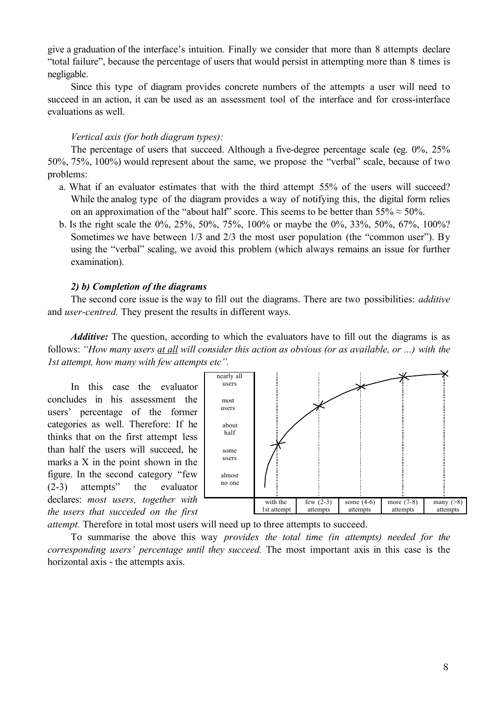give a graduation of the interface's intuition. Finally we consider that more than 8 attempts declare "total failure", because the percentage of users that would persist in attempting more than 8 times is negligable.

Since this type of diagram provides concrete numbers of the attempts a user will need to succeed in an action, it can be used as an assessment tool of the interface and for cross-interface evaluations as well.

# *Vertical axis (for both diagram types):*

The percentage of users that succeed. Although a five-degree percentage scale (eg. 0%, 25% 50%, 75%, 100%) would represent about the same, we propose the "verbal" scale, because of two problems:

- a. What if an evaluator estimates that with the third attempt 55% of the users will succeed? While the analog type of the diagram provides a way of notifying this, the digital form relies on an approximation of the "about half" score. This seems to be better than  $55\% \approx 50\%$ .
- b. Is the right scale the 0%, 25%, 50%, 75%, 100% or maybe the 0%, 33%, 50%, 67%, 100%? Sometimes we have between 1/3 and 2/3 the most user population (the "common user"). By using the "verbal" scaling, we avoid this problem (which always remains an issue for further examination).

# *2) b) Completion of the diagrams*

The second core issue is the way to fill out the diagrams. There are two possibilities: *additive* and *user-centred.* They present the results in different ways.

*Additive:* The question, according to which the evaluators have to fill out the diagrams is as follows: *"How many users at all will consider this action as obvious (or as available, or ...) with the 1st attempt, how many with few attempts etc".*

In this case the evaluator concludes in his assessment the users' percentage of the former categories as well. Therefore: If he thinks that on the first attempt less than half the users will succeed, he marks a X in the point shown in the figure. In the second category "few (2-3) attempts" the evaluator declares: *most users, together with the users that succeded on the first*



*attempt.* Therefore in total most users will need up to three attempts to succeed.

To summarise the above this way *provides the total time (in attempts) needed for the corresponding users' percentage until they succeed.* The most important axis in this case is the horizontal axis - the attempts axis.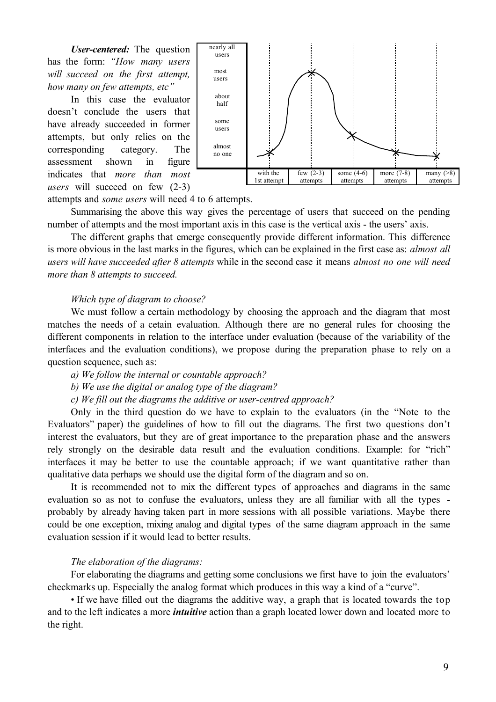*User-centered:* The question has the form: *"How many users will succeed on the first attempt, how many on few attempts, etc"*

In this case the evaluator doesn't conclude the users that have already succeeded in former attempts, but only relies on the corresponding category. The assessment shown in figure indicates that *more than most users* will succeed on few (2-3)



attempts and *some users* will need 4 to 6 attempts.

Summarising the above this way gives the percentage of users that succeed on the pending number of attempts and the most important axis in this case is the vertical axis - the users' axis.

The different graphs that emerge consequently provide different information. This difference is more obvious in the last marks in the figures, which can be explained in the first case as: *almost all users will have succeeded after 8 attempts* while in the second case it means *almost no one will need more than 8 attempts to succeed.*

#### *Which type of diagram to choose?*

We must follow a certain methodology by choosing the approach and the diagram that most matches the needs of a cetain evaluation. Although there are no general rules for choosing the different components in relation to the interface under evaluation (because of the variability of the interfaces and the evaluation conditions), we propose during the preparation phase to rely on a question sequence, such as:

*a) We follow the internal or countable approach?*

*b) We use the digital or analog type of the diagram?*

*c) We fill out the diagrams the additive or user-centred approach?*

Only in the third question do we have to explain to the evaluators (in the "Note to the Evaluators" paper) the guidelines of how to fill out the diagrams. The first two questions don't interest the evaluators, but they are of great importance to the preparation phase and the answers rely strongly on the desirable data result and the evaluation conditions. Example: for "rich" interfaces it may be better to use the countable approach; if we want quantitative rather than qualitative data perhaps we should use the digital form of the diagram and so on.

It is recommended not to mix the different types of approaches and diagrams in the same evaluation so as not to confuse the evaluators, unless they are all familiar with all the types probably by already having taken part in more sessions with all possible variations. Maybe there could be one exception, mixing analog and digital types of the same diagram approach in the same evaluation session if it would lead to better results.

#### *The elaboration of the diagrams:*

For elaborating the diagrams and getting some conclusions we first have to join the evaluators' checkmarks up. Especially the analog format which produces in this way a kind of a "curve".

• If we have filled out the diagrams the additive way, a graph that is located towards the top and to the left indicates a more *intuitive* action than a graph located lower down and located more to the right.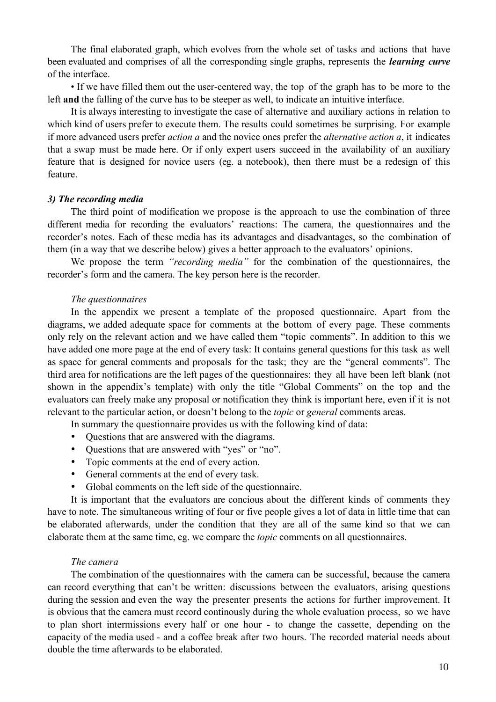The final elaborated graph, which evolves from the whole set of tasks and actions that have been evaluated and comprises of all the corresponding single graphs, represents the *learning curve* of the interface.

• If we have filled them out the user-centered way, the top of the graph has to be more to the left **and** the falling of the curve has to be steeper as well, to indicate an intuitive interface.

It is always interesting to investigate the case of alternative and auxiliary actions in relation to which kind of users prefer to execute them. The results could sometimes be surprising. For example if more advanced users prefer *action a* and the novice ones prefer the *alternative action a*, it indicates that a swap must be made here. Or if only expert users succeed in the availability of an auxiliary feature that is designed for novice users (eg. a notebook), then there must be a redesign of this feature.

#### *3) The recording media*

The third point of modification we propose is the approach to use the combination of three different media for recording the evaluators' reactions: The camera, the questionnaires and the recorder's notes. Each of these media has its advantages and disadvantages, so the combination of them (in a way that we describe below) gives a better approach to the evaluators' opinions.

We propose the term *"recording media"* for the combination of the questionnaires, the recorder's form and the camera. The key person here is the recorder.

#### *The questionnaires*

In the appendix we present a template of the proposed questionnaire. Apart from the diagrams, we added adequate space for comments at the bottom of every page. These comments only rely on the relevant action and we have called them "topic comments". In addition to this we have added one more page at the end of every task: It contains general questions for this task as well as space for general comments and proposals for the task; they are the "general comments". The third area for notifications are the left pages of the questionnaires: they all have been left blank (not shown in the appendix's template) with only the title "Global Comments" on the top and the evaluators can freely make any proposal or notification they think is important here, even if it is not relevant to the particular action, or doesn't belong to the *topic* or *general* comments areas.

In summary the questionnaire provides us with the following kind of data:

Questions that are answered with the diagrams.

Questions that are answered with "yes" or "no".

Topic comments at the end of every action.

General comments at the end of every task.

Global comments on the left side of the questionnaire.

It is important that the evaluators are concious about the different kinds of comments they have to note. The simultaneous writing of four or five people gives a lot of data in little time that can be elaborated afterwards, under the condition that they are all of the same kind so that we can elaborate them at the same time, eg. we compare the *topic* comments on all questionnaires.

#### *The camera*

The combination of the questionnaires with the camera can be successful, because the camera can record everything that can't be written: discussions between the evaluators, arising questions during the session and even the way the presenter presents the actions for further improvement. It is obvious that the camera must record continously during the whole evaluation process, so we have to plan short intermissions every half or one hour - to change the cassette, depending on the capacity of the media used - and a coffee break after two hours. The recorded material needs about double the time afterwards to be elaborated.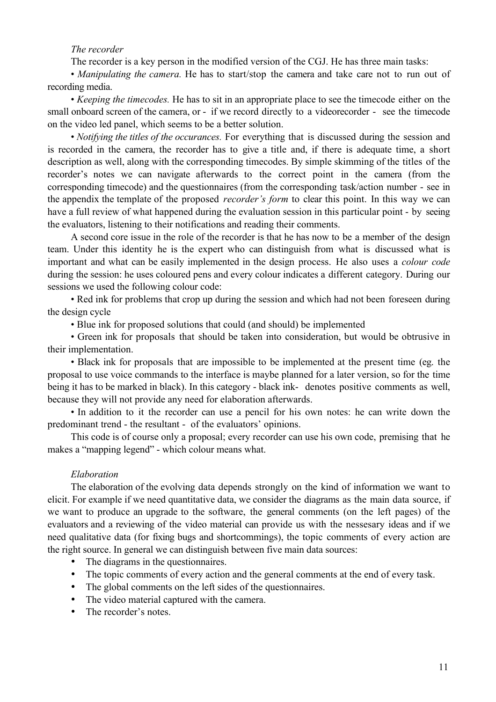#### *The recorder*

The recorder is a key person in the modified version of the CGJ. He has three main tasks:

• *Manipulating the camera*. He has to start/stop the camera and take care not to run out of recording media.

• *Keeping the timecodes.* He has to sit in an appropriate place to see the timecode either on the small onboard screen of the camera, or - if we record directly to a videorecorder - see the timecode on the video led panel, which seems to be a better solution.

• *Notifying the titles of the occurances.* For everything that is discussed during the session and is recorded in the camera, the recorder has to give a title and, if there is adequate time, a short description as well, along with the corresponding timecodes. By simple skimming of the titles of the recorder's notes we can navigate afterwards to the correct point in the camera (from the corresponding timecode) and the questionnaires (from the corresponding task/action number - see in the appendix the template of the proposed *recorder's form* to clear this point. In this way we can have a full review of what happened during the evaluation session in this particular point - by seeing the evaluators, listening to their notifications and reading their comments.

A second core issue in the role of the recorder is that he has now to be a member of the design team. Under this identity he is the expert who can distinguish from what is discussed what is important and what can be easily implemented in the design process. He also uses a *colour code* during the session: he uses coloured pens and every colour indicates a different category. During our sessions we used the following colour code:

• Red ink for problems that crop up during the session and which had not been foreseen during the design cycle

• Blue ink for proposed solutions that could (and should) be implemented

• Green ink for proposals that should be taken into consideration, but would be obtrusive in their implementation.

• Black ink for proposals that are impossible to be implemented at the present time (eg. the proposal to use voice commands to the interface is maybe planned for a later version, so for the time being it has to be marked in black). In this category - black ink- denotes positive comments as well, because they will not provide any need for elaboration afterwards.

• In addition to it the recorder can use a pencil for his own notes: he can write down the predominant trend - the resultant - of the evaluators' opinions.

This code is of course only a proposal; every recorder can use his own code, premising that he makes a "mapping legend" - which colour means what.

#### *Elaboration*

The elaboration of the evolving data depends strongly on the kind of information we want to elicit. For example if we need quantitative data, we consider the diagrams as the main data source, if we want to produce an upgrade to the software, the general comments (on the left pages) of the evaluators and a reviewing of the video material can provide us with the nessesary ideas and if we need qualitative data (for fixing bugs and shortcommings), the topic comments of every action are the right source. In general we can distinguish between five main data sources:

The diagrams in the questionnaires.

The topic comments of every action and the general comments at the end of every task.

The global comments on the left sides of the questionnaires.

The video material captured with the camera.

The recorder's notes.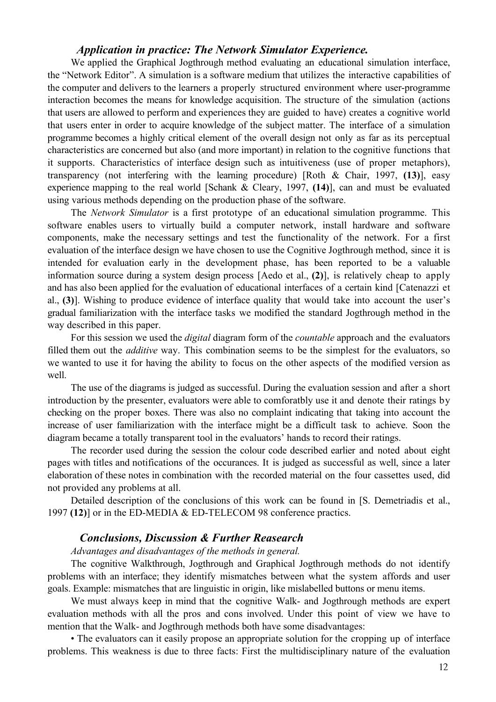# *Application in practice: The Network Simulator Experience.*

We applied the Graphical Jogthrough method evaluating an educational simulation interface, the "Network Editor". A simulation is a software medium that utilizes the interactive capabilities of the computer and delivers to the learners a properly structured environment where user-programme interaction becomes the means for knowledge acquisition. The structure of the simulation (actions that users are allowed to perform and experiences they are guided to have) creates a cognitive world that users enter in order to acquire knowledge of the subject matter. The interface of a simulation programme becomes a highly critical element of the overall design not only as far as its perceptual characteristics are concerned but also (and more important) in relation to the cognitive functions that it supports. Characteristics of interface design such as intuitiveness (use of proper metaphors), transparency (not interfering with the learning procedure) [Roth & Chair, 1997, **(13)**], easy experience mapping to the real world [Schank & Cleary, 1997, **(14)**], can and must be evaluated using various methods depending on the production phase of the software.

The *Network Simulator* is a first prototype of an educational simulation programme. This software enables users to virtually build a computer network, install hardware and software components, make the necessary settings and test the functionality of the network. For a first evaluation of the interface design we have chosen to use the Cognitive Jogthrough method, since it is intended for evaluation early in the development phase, has been reported to be a valuable information source during a system design process [Aedo et al., **(2)**], is relatively cheap to apply and has also been applied for the evaluation of educational interfaces of a certain kind [Catenazzi et al., **(3)**]. Wishing to produce evidence of interface quality that would take into account the user's gradual familiarization with the interface tasks we modified the standard Jogthrough method in the way described in this paper.

For this session we used the *digital* diagram form of the *countable* approach and the evaluators filled them out the *additive* way. This combination seems to be the simplest for the evaluators, so we wanted to use it for having the ability to focus on the other aspects of the modified version as well.

The use of the diagrams is judged as successful. During the evaluation session and after a short introduction by the presenter, evaluators were able to comforatbly use it and denote their ratings by checking on the proper boxes. There was also no complaint indicating that taking into account the increase of user familiarization with the interface might be a difficult task to achieve. Soon the diagram became a totally transparent tool in the evaluators' hands to record their ratings.

The recorder used during the session the colour code described earlier and noted about eight pages with titles and notifications of the occurances. It is judged as successful as well, since a later elaboration of these notes in combination with the recorded material on the four cassettes used, did not provided any problems at all.

Detailed description of the conclusions of this work can be found in [S. Demetriadis et al., 1997 **(12)**] or in the ED-MEDIA & ED-TELECOM 98 conference practics.

# *Conclusions, Discussion & Further Reasearch*

*Advantages and disadvantages of the methods in general.*

The cognitive Walkthrough, Jogthrough and Graphical Jogthrough methods do not identify problems with an interface; they identify mismatches between what the system affords and user goals. Example: mismatches that are linguistic in origin, like mislabelled buttons or menu items.

We must always keep in mind that the cognitive Walk- and Jogthrough methods are expert evaluation methods with all the pros and cons involved. Under this point of view we have to mention that the Walk- and Jogthrough methods both have some disadvantages:

• The evaluators can it easily propose an appropriate solution for the cropping up of interface problems. This weakness is due to three facts: First the multidisciplinary nature of the evaluation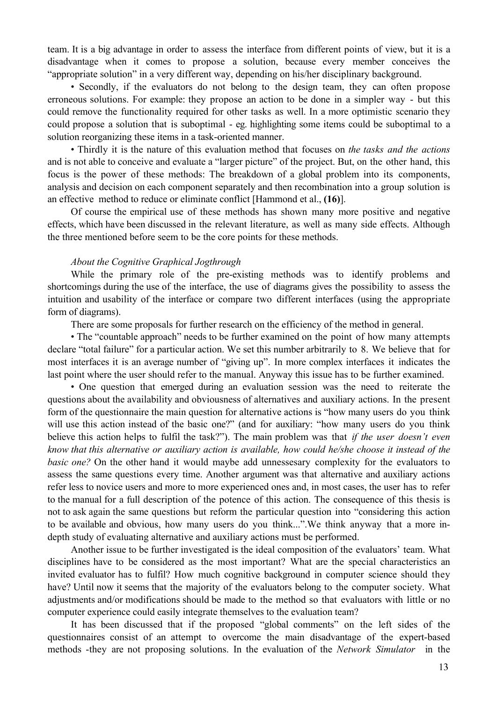team. It is a big advantage in order to assess the interface from different points of view, but it is a disadvantage when it comes to propose a solution, because every member conceives the "appropriate solution" in a very different way, depending on his/her disciplinary background.

• Secondly, if the evaluators do not belong to the design team, they can often propose erroneous solutions. For example: they propose an action to be done in a simpler way - but this could remove the functionality required for other tasks as well. In a more optimistic scenario they could propose a solution that is suboptimal - eg. highlighting some items could be suboptimal to a solution reorganizing these items in a task-oriented manner.

• Thirdly it is the nature of this evaluation method that focuses on *the tasks and the actions* and is not able to conceive and evaluate a "larger picture" of the project. But, on the other hand, this focus is the power of these methods: The breakdown of a global problem into its components, analysis and decision on each component separately and then recombination into a group solution is an effective method to reduce or eliminate conflict [Hammond et al., **(16)**].

Of course the empirical use of these methods has shown many more positive and negative effects, which have been discussed in the relevant literature, as well as many side effects. Although the three mentioned before seem to be the core points for these methods.

#### *About the Cognitive Graphical Jogthrough*

While the primary role of the pre-existing methods was to identify problems and shortcomings during the use of the interface, the use of diagrams gives the possibility to assess the intuition and usability of the interface or compare two different interfaces (using the appropriate form of diagrams).

There are some proposals for further research on the efficiency of the method in general.

• The "countable approach" needs to be further examined on the point of how many attempts declare "total failure" for a particular action. We set this number arbitrarily to 8. We believe that for most interfaces it is an average number of "giving up". In more complex interfaces it indicates the last point where the user should refer to the manual. Anyway this issue has to be further examined.

• One question that emerged during an evaluation session was the need to reiterate the questions about the availability and obviousness of alternatives and auxiliary actions. In the present form of the questionnaire the main question for alternative actions is "how many users do you think will use this action instead of the basic one?" (and for auxiliary: "how many users do you think believe this action helps to fulfil the task?"). The main problem was that *if the user doesn't even know that this alternative or auxiliary action is available, how could he/she choose it instead of the basic one?* On the other hand it would maybe add unnessesary complexity for the evaluators to assess the same questions every time. Another argument was that alternative and auxiliary actions refer less to novice users and more to more experienced ones and, in most cases, the user has to refer to the manual for a full description of the potence of this action. The consequence of this thesis is not to ask again the same questions but reform the particular question into "considering this action to be available and obvious, how many users do you think...".We think anyway that a more indepth study of evaluating alternative and auxiliary actions must be performed.

Another issue to be further investigated is the ideal composition of the evaluators' team. What disciplines have to be considered as the most important? What are the special characteristics an invited evaluator has to fulfil? How much cognitive background in computer science should they have? Until now it seems that the majority of the evaluators belong to the computer society. What adjustments and/or modifications should be made to the method so that evaluators with little or no computer experience could easily integrate themselves to the evaluation team?

It has been discussed that if the proposed "global comments" on the left sides of the questionnaires consist of an attempt to overcome the main disadvantage of the expert-based methods -they are not proposing solutions. In the evaluation of the *Network Simulator* in the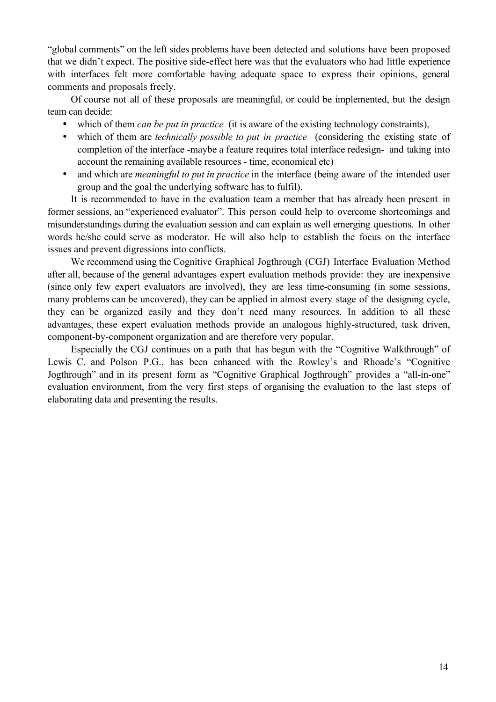"global comments" on the left sides problems have been detected and solutions have been proposed that we didn't expect. The positive side-effect here was that the evaluators who had little experience with interfaces felt more comfortable having adequate space to express their opinions, general comments and proposals freely.

Of course not all of these proposals are meaningful, or could be implemented, but the design team can decide:

which of them *can be put in practice* (it is aware of the existing technology constraints),

which of them are *technically possible to put in practice* (considering the existing state of completion of the interface -maybe a feature requires total interface redesign- and taking into account the remaining available resources - time, economical etc)

and which are *meaningful to put in practice* in the interface (being aware of the intended user group and the goal the underlying software has to fulfil).

It is recommended to have in the evaluation team a member that has already been present in former sessions, an "experienced evaluator". This person could help to overcome shortcomings and misunderstandings during the evaluation session and can explain as well emerging questions. In other words he/she could serve as moderator. He will also help to establish the focus on the interface issues and prevent digressions into conflicts.

We recommend using the Cognitive Graphical Jogthrough (CGJ) Interface Evaluation Method after all, because of the general advantages expert evaluation methods provide: they are inexpensive (since only few expert evaluators are involved), they are less time-consuming (in some sessions, many problems can be uncovered), they can be applied in almost every stage of the designing cycle, they can be organized easily and they don't need many resources. In addition to all these advantages, these expert evaluation methods provide an analogous highly-structured, task driven, component-by-component organization and are therefore very popular.

Especially the CGJ continues on a path that has begun with the "Cognitive Walkthrough" of Lewis C. and Polson P.G., has been enhanced with the Rowley's and Rhoade's "Cognitive Jogthrough" and in its present form as "Cognitive Graphical Jogthrough" provides a "all-in-one" evaluation environment, from the very first steps of organising the evaluation to the last steps of elaborating data and presenting the results.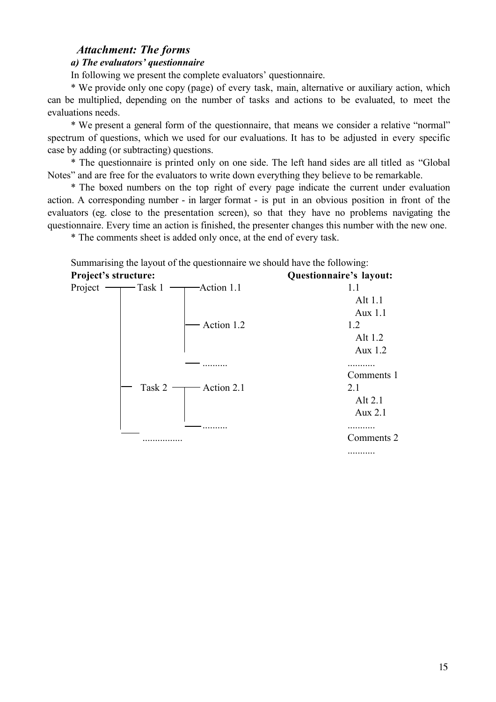# *Attachment: The forms*

# *a) The evaluators' questionnaire*

In following we present the complete evaluators' questionnaire.

\* We provide only one copy (page) of every task, main, alternative or auxiliary action, which can be multiplied, depending on the number of tasks and actions to be evaluated, to meet the evaluations needs.

\* We present a general form of the questionnaire, that means we consider a relative "normal" spectrum of questions, which we used for our evaluations. It has to be adjusted in every specific case by adding (or subtracting) questions.

\* The questionnaire is printed only on one side. The left hand sides are all titled as "Global Notes" and are free for the evaluators to write down everything they believe to be remarkable.

\* The boxed numbers on the top right of every page indicate the current under evaluation action. A corresponding number - in larger format - is put in an obvious position in front of the evaluators (eg. close to the presentation screen), so that they have no problems navigating the questionnaire. Every time an action is finished, the presenter changes this number with the new one.

\* The comments sheet is added only once, at the end of every task.

Summarising the layout of the questionnaire we should have the following:

| <b>Project's structure:</b>               | Questionnaire's layout: |
|-------------------------------------------|-------------------------|
| Action 1.1<br>Project<br>$-\text{Task} 1$ | 1.1                     |
|                                           | Alt 1.1                 |
|                                           | Aux 1.1                 |
| Action 1.2                                | 1.2                     |
|                                           | Alt 1.2                 |
|                                           | Aux 1.2                 |
|                                           |                         |
|                                           | Comments 1              |
| Task 2<br>Action 2.1                      | 2.1                     |
|                                           | Alt 2.1                 |
|                                           | Aux 2.1                 |
|                                           |                         |
|                                           | Comments 2              |
|                                           |                         |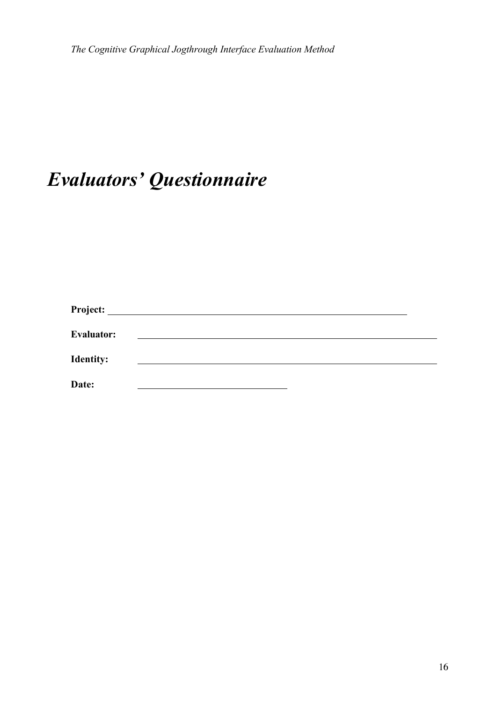# *Evaluators' Questionnaire*

| <b>Evaluator:</b> |  |  |
|-------------------|--|--|
| <b>Identity:</b>  |  |  |
| Date:             |  |  |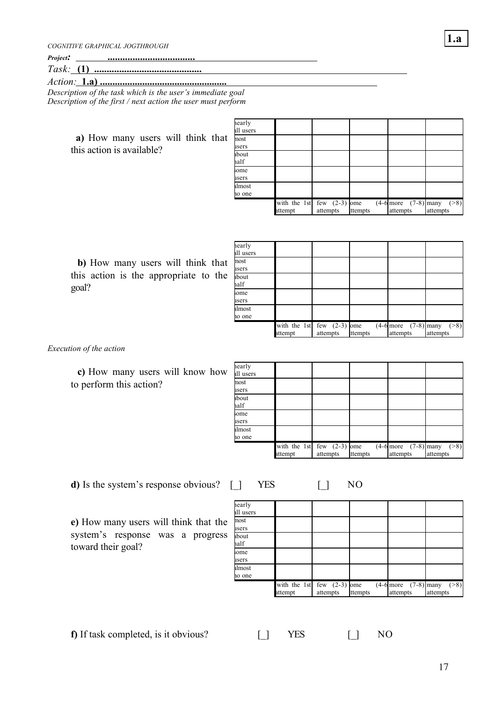*COGNITIVE GRAPHICAL JOGTHROUGH*

| Project:        |          |  |
|-----------------|----------|--|
| $\tau$<br>Task: |          |  |
| Action          | ാ<br>- - |  |

*Action:* **1.a) ...................................................** *Description of the task which is the user's immediate goal Description of the first / next action the user must perform*

> **a)** How many users will think that this action is available?

| hearly<br>ıll users |                         |                             |         |                                      |                   |
|---------------------|-------------------------|-----------------------------|---------|--------------------------------------|-------------------|
| nost<br>isers       |                         |                             |         |                                      |                   |
| about<br>half       |                         |                             |         |                                      |                   |
| some<br>isers       |                         |                             |         |                                      |                   |
| ilmost<br>io one    |                         |                             |         |                                      |                   |
|                     | with the 1st<br>attempt | few $(2-3)$ ome<br>attempts | ttempts | $(4-6$ more $(7-8)$ many<br>attempts | ( >8)<br>attempts |

**b)** How many users will think that this action is the appropriate to the goal?

| hearly<br>ıll users |                                         |          |         |                                                                 |                   |
|---------------------|-----------------------------------------|----------|---------|-----------------------------------------------------------------|-------------------|
| nost<br>isers       |                                         |          |         |                                                                 |                   |
| ıbout<br>half       |                                         |          |         |                                                                 |                   |
| some<br>isers       |                                         |          |         |                                                                 |                   |
| ilmost<br>10 one    |                                         |          |         |                                                                 |                   |
|                     | with the 1st few $(2-3)$ ome<br>attempt | attempts | ttempts | $\overline{(4-6 \text{ more }} (7-8) \text{ many})$<br>attempts | ( >8)<br>attempts |

*Execution of the action*

**c)** How many users will know how to perform this action?

| hearly<br>ıll users |         |                                          |         |                                      |                   |
|---------------------|---------|------------------------------------------|---------|--------------------------------------|-------------------|
| nost<br>isers       |         |                                          |         |                                      |                   |
| ıbout<br>half       |         |                                          |         |                                      |                   |
| some<br>isers       |         |                                          |         |                                      |                   |
| ilmost<br>10 one    |         |                                          |         |                                      |                   |
|                     | attempt | with the 1st few $(2-3)$ ome<br>attempts | ttempts | $(4-6$ more $(7-8)$ many<br>attempts | ( >8)<br>attempts |

**d**) Is the system's response obvious?  $\begin{bmatrix} \end{bmatrix}$  YES  $\begin{bmatrix} \end{bmatrix}$  NO

**e)** How many users will think that the system's response was a progress toward their goal?

|                     | with the 1st few $(2-3)$ ome<br>attempt | attempts | ttempts | $(4-6$ more $(7-8)$ many<br>attempts | ( >8)<br>attempts |
|---------------------|-----------------------------------------|----------|---------|--------------------------------------|-------------------|
| ilmost<br>to one    |                                         |          |         |                                      |                   |
| some<br>isers       |                                         |          |         |                                      |                   |
| ibout<br>half       |                                         |          |         |                                      |                   |
| nost<br>isers       |                                         |          |         |                                      |                   |
| hearly<br>ıll users |                                         |          |         |                                      |                   |

**f**) If task completed, is it obvious?  $\begin{bmatrix} \end{bmatrix} \text{YES}$  [] NO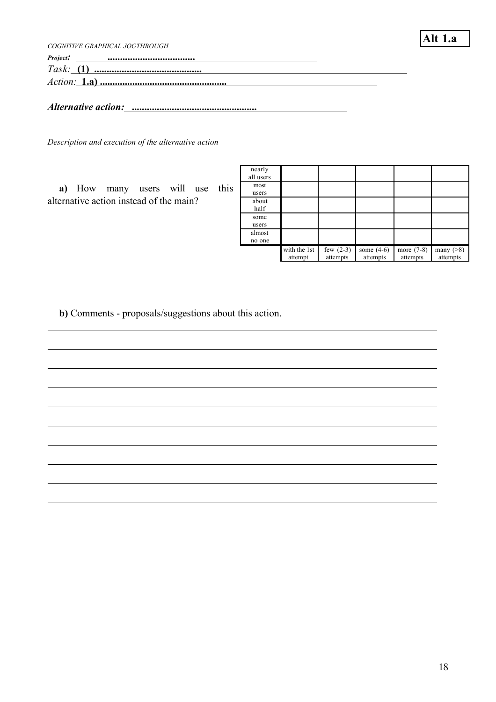*COGNITIVE GRAPHICAL JOGTHROUGH Project:* **...................................** *Task:* **(1) ...........................................** *Action:* **1.a) ...................................................** *Alternative action:* **..................................................**

*Description and execution of the alternative action*

**a)** How many users will use this alternative action instead of the main?

| nearly<br>all users |                         |                         |                          |                          |                          |
|---------------------|-------------------------|-------------------------|--------------------------|--------------------------|--------------------------|
| most<br>users       |                         |                         |                          |                          |                          |
| about<br>half       |                         |                         |                          |                          |                          |
| some<br>users       |                         |                         |                          |                          |                          |
| almost<br>no one    |                         |                         |                          |                          |                          |
|                     | with the 1st<br>attempt | few $(2-3)$<br>attempts | some $(4-6)$<br>attempts | more $(7-8)$<br>attempts | many $($ >8)<br>attempts |

**Alt 1.a**

**b)** Comments - proposals/suggestions about this action.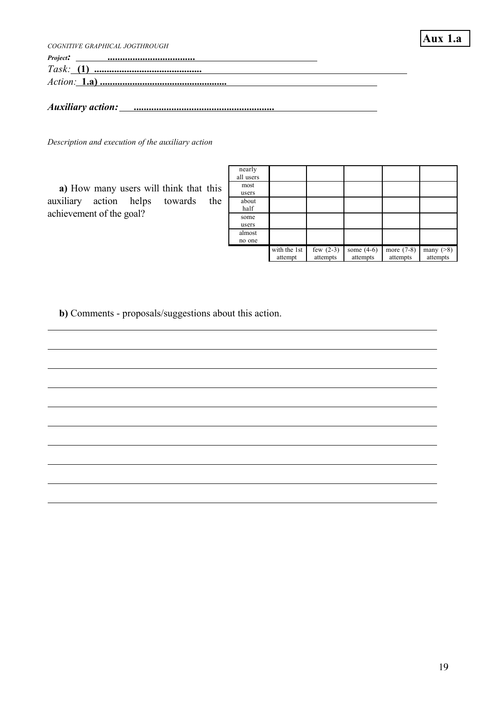| COGNITIVE GRAPHICAL JOGTHROUGH  | Aux1.a |
|---------------------------------|--------|
| <u> 1980 - Jan Alexandria (</u> |        |
|                                 |        |
|                                 |        |
|                                 |        |
|                                 |        |

*Description and execution of the auxiliary action*

**a)** How many users will think that this auxiliary action helps towards the achievement of the goal?

| nearly<br>all users |                         |                         |                          |                          |                             |
|---------------------|-------------------------|-------------------------|--------------------------|--------------------------|-----------------------------|
| most<br>users       |                         |                         |                          |                          |                             |
| about<br>half       |                         |                         |                          |                          |                             |
| some<br>users       |                         |                         |                          |                          |                             |
| almost<br>no one    |                         |                         |                          |                          |                             |
|                     | with the 1st<br>attempt | few $(2-3)$<br>attempts | some $(4-6)$<br>attempts | more $(7-8)$<br>attempts | many $($ >8 $)$<br>attempts |

**b)** Comments - proposals/suggestions about this action.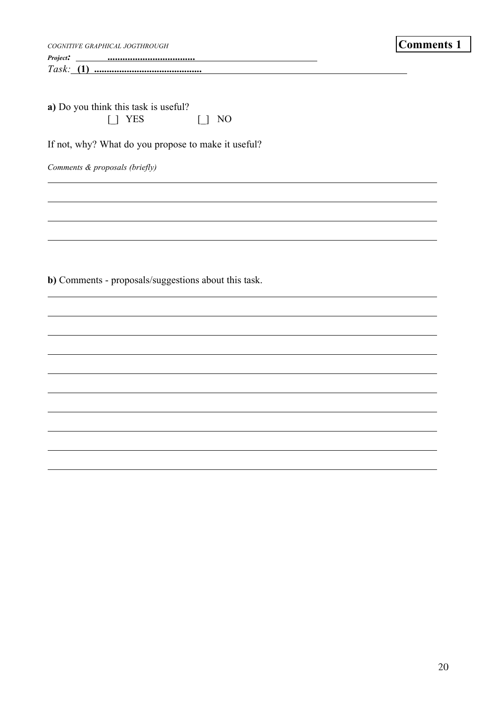| COGNITIVE GRAPHICAL JOGTHROUGH                               | <b>Comments 1</b> |
|--------------------------------------------------------------|-------------------|
| Project:                                                     |                   |
| a) Do you think this task is useful?<br>[ ] YES<br>$\Box$ NO |                   |
| If not, why? What do you propose to make it useful?          |                   |
| Comments & proposals (briefly)                               |                   |
|                                                              |                   |
|                                                              |                   |
|                                                              |                   |
|                                                              |                   |
| b) Comments - proposals/suggestions about this task.         |                   |
|                                                              |                   |
|                                                              |                   |
|                                                              |                   |
|                                                              |                   |
|                                                              |                   |
|                                                              |                   |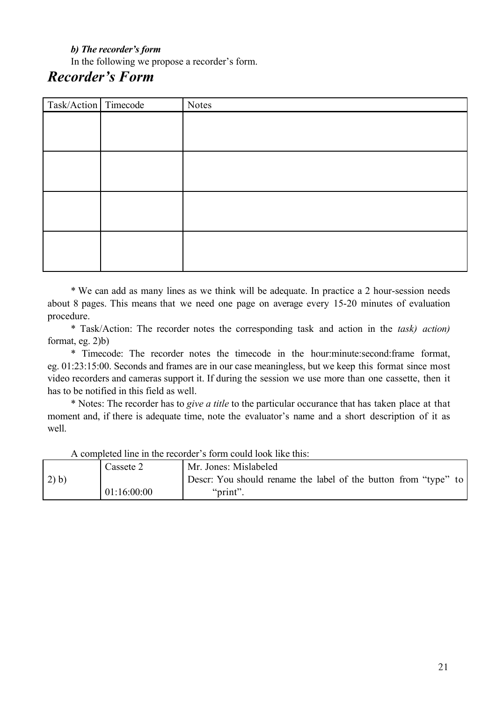# *b) The recorder's form*

In the following we propose a recorder's form.

# *Recorder's Form*

| Task/Action Timecode | Notes |
|----------------------|-------|
|                      |       |
|                      |       |
|                      |       |
|                      |       |
|                      |       |
|                      |       |
|                      |       |
|                      |       |
|                      |       |
|                      |       |
|                      |       |
|                      |       |

\* We can add as many lines as we think will be adequate. In practice a 2 hour-session needs about 8 pages. This means that we need one page on average every 15-20 minutes of evaluation procedure.

\* Task/Action: The recorder notes the corresponding task and action in the *task) action)* format, eg. 2)b)

\* Timecode: The recorder notes the timecode in the hour:minute:second:frame format, eg. 01:23:15:00. Seconds and frames are in our case meaningless, but we keep this format since most video recorders and cameras support it. If during the session we use more than one cassette, then it has to be notified in this field as well.

\* Notes: The recorder has to *give a title* to the particular occurance that has taken place at that moment and, if there is adequate time, note the evaluator's name and a short description of it as well.

2) b) Cassete 2 01:16:00:00 Mr. Jones: Mislabeled Descr: You should rename the label of the button from "type" to "print".

A completed line in the recorder's form could look like this: